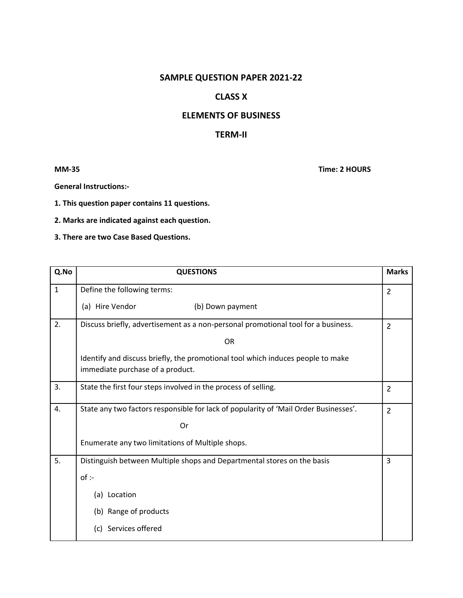## SAMPLE QUESTION PAPER 2021-22

## CLASS X

## ELEMENTS OF BUSINESS

## TERM-II

MM-35 Time: 2 HOURS

General Instructions:-

1. This question paper contains 11 questions.

2. Marks are indicated against each question.

3. There are two Case Based Questions.

| Q.No         | <b>QUESTIONS</b>                                                                                                    |                |  |  |
|--------------|---------------------------------------------------------------------------------------------------------------------|----------------|--|--|
| $\mathbf{1}$ | Define the following terms:                                                                                         |                |  |  |
|              | (a) Hire Vendor<br>(b) Down payment                                                                                 |                |  |  |
| 2.           | Discuss briefly, advertisement as a non-personal promotional tool for a business.                                   |                |  |  |
|              | <b>OR</b>                                                                                                           |                |  |  |
|              | Identify and discuss briefly, the promotional tool which induces people to make<br>immediate purchase of a product. |                |  |  |
| 3.           | State the first four steps involved in the process of selling.<br>$\overline{c}$                                    |                |  |  |
| 4.           | State any two factors responsible for lack of popularity of 'Mail Order Businesses'.                                |                |  |  |
|              | Or                                                                                                                  |                |  |  |
|              | Enumerate any two limitations of Multiple shops.                                                                    |                |  |  |
| 5.           | Distinguish between Multiple shops and Departmental stores on the basis                                             | $\overline{3}$ |  |  |
|              | of :                                                                                                                |                |  |  |
|              | (a) Location                                                                                                        |                |  |  |
|              | (b) Range of products                                                                                               |                |  |  |
|              | (c) Services offered                                                                                                |                |  |  |